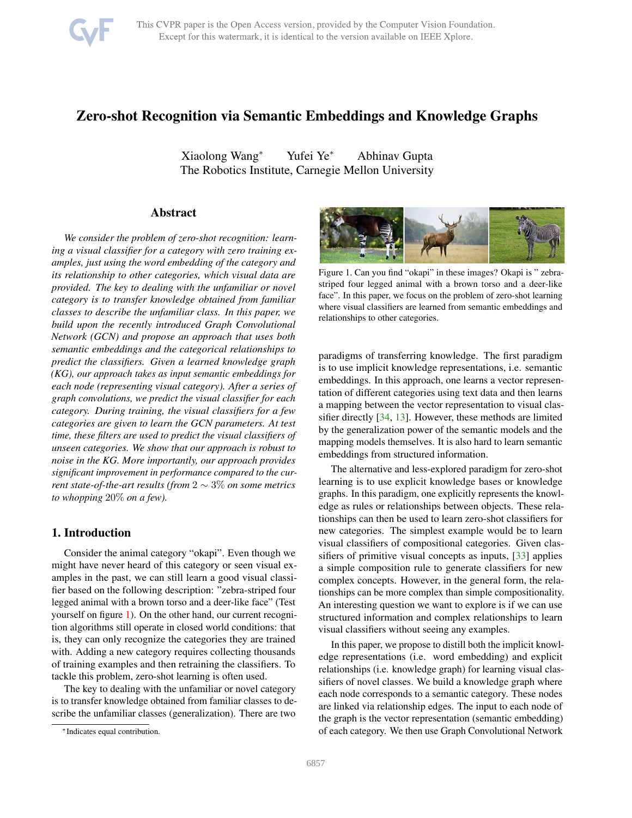

# <span id="page-0-1"></span>Zero-shot Recognition via Semantic Embeddings and Knowledge Graphs

Xiaolong Wang<sup>∗</sup> Yufei Ye<sup>∗</sup> Abhinav Gupta The Robotics Institute, Carnegie Mellon University

## Abstract

*We consider the problem of zero-shot recognition: learning a visual classifier for a category with zero training examples, just using the word embedding of the category and its relationship to other categories, which visual data are provided. The key to dealing with the unfamiliar or novel category is to transfer knowledge obtained from familiar classes to describe the unfamiliar class. In this paper, we build upon the recently introduced Graph Convolutional Network (GCN) and propose an approach that uses both semantic embeddings and the categorical relationships to predict the classifiers. Given a learned knowledge graph (KG), our approach takes as input semantic embeddings for each node (representing visual category). After a series of graph convolutions, we predict the visual classifier for each category. During training, the visual classifiers for a few categories are given to learn the GCN parameters. At test time, these filters are used to predict the visual classifiers of unseen categories. We show that our approach is robust to noise in the KG. More importantly, our approach provides significant improvement in performance compared to the current state-of-the-art results (from* 2 ∼ 3% *on some metrics to whopping* 20% *on a few).*

## 1. Introduction

Consider the animal category "okapi". Even though we might have never heard of this category or seen visual examples in the past, we can still learn a good visual classifier based on the following description: "zebra-striped four legged animal with a brown torso and a deer-like face" (Test yourself on figure [1\)](#page-0-0). On the other hand, our current recognition algorithms still operate in closed world conditions: that is, they can only recognize the categories they are trained with. Adding a new category requires collecting thousands of training examples and then retraining the classifiers. To tackle this problem, zero-shot learning is often used.

The key to dealing with the unfamiliar or novel category is to transfer knowledge obtained from familiar classes to describe the unfamiliar classes (generalization). There are two

<span id="page-0-0"></span>

Figure 1. Can you find "okapi" in these images? Okapi is " zebrastriped four legged animal with a brown torso and a deer-like face". In this paper, we focus on the problem of zero-shot learning where visual classifiers are learned from semantic embeddings and relationships to other categories.

paradigms of transferring knowledge. The first paradigm is to use implicit knowledge representations, i.e. semantic embeddings. In this approach, one learns a vector representation of different categories using text data and then learns a mapping between the vector representation to visual classifier directly [\[34,](#page-8-0) [13\]](#page-8-1). However, these methods are limited by the generalization power of the semantic models and the mapping models themselves. It is also hard to learn semantic embeddings from structured information.

The alternative and less-explored paradigm for zero-shot learning is to use explicit knowledge bases or knowledge graphs. In this paradigm, one explicitly represents the knowledge as rules or relationships between objects. These relationships can then be used to learn zero-shot classifiers for new categories. The simplest example would be to learn visual classifiers of compositional categories. Given classifiers of primitive visual concepts as inputs, [\[33\]](#page-8-2) applies a simple composition rule to generate classifiers for new complex concepts. However, in the general form, the relationships can be more complex than simple compositionality. An interesting question we want to explore is if we can use structured information and complex relationships to learn visual classifiers without seeing any examples.

In this paper, we propose to distill both the implicit knowledge representations (i.e. word embedding) and explicit relationships (i.e. knowledge graph) for learning visual classifiers of novel classes. We build a knowledge graph where each node corresponds to a semantic category. These nodes are linked via relationship edges. The input to each node of the graph is the vector representation (semantic embedding) of each category. We then use Graph Convolutional Network

<sup>∗</sup>Indicates equal contribution.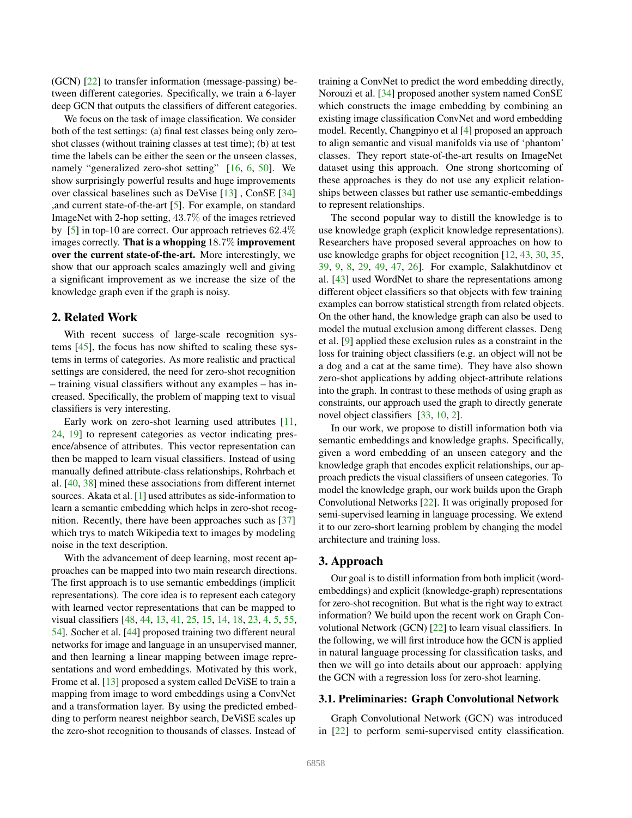<span id="page-1-0"></span>(GCN) [\[22\]](#page-8-3) to transfer information (message-passing) between different categories. Specifically, we train a 6-layer deep GCN that outputs the classifiers of different categories.

We focus on the task of image classification. We consider both of the test settings: (a) final test classes being only zeroshot classes (without training classes at test time); (b) at test time the labels can be either the seen or the unseen classes, namely "generalized zero-shot setting" [\[16,](#page-8-4) [6,](#page-8-5) [50\]](#page-9-0). We show surprisingly powerful results and huge improvements over classical baselines such as DeVise [\[13\]](#page-8-1) , ConSE [\[34\]](#page-8-0) ,and current state-of-the-art [\[5\]](#page-8-6). For example, on standard ImageNet with 2-hop setting, 43.7% of the images retrieved by [\[5\]](#page-8-6) in top-10 are correct. Our approach retrieves 62.4% images correctly. That is a whopping 18.7% improvement over the current state-of-the-art. More interestingly, we show that our approach scales amazingly well and giving a significant improvement as we increase the size of the knowledge graph even if the graph is noisy.

## 2. Related Work

With recent success of large-scale recognition systems [\[45\]](#page-9-1), the focus has now shifted to scaling these systems in terms of categories. As more realistic and practical settings are considered, the need for zero-shot recognition – training visual classifiers without any examples – has increased. Specifically, the problem of mapping text to visual classifiers is very interesting.

Early work on zero-shot learning used attributes [\[11,](#page-8-7) [24,](#page-8-8) [19\]](#page-8-9) to represent categories as vector indicating presence/absence of attributes. This vector representation can then be mapped to learn visual classifiers. Instead of using manually defined attribute-class relationships, Rohrbach et al. [\[40,](#page-8-10) [38\]](#page-8-11) mined these associations from different internet sources. Akata et al. [\[1\]](#page-8-12) used attributes as side-information to learn a semantic embedding which helps in zero-shot recognition. Recently, there have been approaches such as [\[37\]](#page-8-13) which trys to match Wikipedia text to images by modeling noise in the text description.

With the advancement of deep learning, most recent approaches can be mapped into two main research directions. The first approach is to use semantic embeddings (implicit representations). The core idea is to represent each category with learned vector representations that can be mapped to visual classifiers [\[48,](#page-9-2) [44,](#page-9-3) [13,](#page-8-1) [41,](#page-8-14) [25,](#page-8-15) [15,](#page-8-16) [14,](#page-8-17) [18,](#page-8-18) [23,](#page-8-19) [4,](#page-8-20) [5,](#page-8-6) [55,](#page-9-4) [54\]](#page-9-5). Socher et al. [\[44\]](#page-9-3) proposed training two different neural networks for image and language in an unsupervised manner, and then learning a linear mapping between image representations and word embeddings. Motivated by this work, Frome et al. [\[13\]](#page-8-1) proposed a system called DeViSE to train a mapping from image to word embeddings using a ConvNet and a transformation layer. By using the predicted embedding to perform nearest neighbor search, DeViSE scales up the zero-shot recognition to thousands of classes. Instead of training a ConvNet to predict the word embedding directly, Norouzi et al. [\[34\]](#page-8-0) proposed another system named ConSE which constructs the image embedding by combining an existing image classification ConvNet and word embedding model. Recently, Changpinyo et al [\[4\]](#page-8-20) proposed an approach to align semantic and visual manifolds via use of 'phantom' classes. They report state-of-the-art results on ImageNet dataset using this approach. One strong shortcoming of these approaches is they do not use any explicit relationships between classes but rather use semantic-embeddings to represent relationships.

The second popular way to distill the knowledge is to use knowledge graph (explicit knowledge representations). Researchers have proposed several approaches on how to use knowledge graphs for object recognition [\[12,](#page-8-21) [43,](#page-9-6) [30,](#page-8-22) [35,](#page-8-23) [39,](#page-8-24) [9,](#page-8-25) [8,](#page-8-26) [29,](#page-8-27) [49,](#page-9-7) [47,](#page-9-8) [26\]](#page-8-28). For example, Salakhutdinov et al. [\[43\]](#page-9-6) used WordNet to share the representations among different object classifiers so that objects with few training examples can borrow statistical strength from related objects. On the other hand, the knowledge graph can also be used to model the mutual exclusion among different classes. Deng et al. [\[9\]](#page-8-25) applied these exclusion rules as a constraint in the loss for training object classifiers (e.g. an object will not be a dog and a cat at the same time). They have also shown zero-shot applications by adding object-attribute relations into the graph. In contrast to these methods of using graph as constraints, our approach used the graph to directly generate novel object classifiers [\[33,](#page-8-2) [10,](#page-8-29) [2\]](#page-8-30).

In our work, we propose to distill information both via semantic embeddings and knowledge graphs. Specifically, given a word embedding of an unseen category and the knowledge graph that encodes explicit relationships, our approach predicts the visual classifiers of unseen categories. To model the knowledge graph, our work builds upon the Graph Convolutional Networks [\[22\]](#page-8-3). It was originally proposed for semi-supervised learning in language processing. We extend it to our zero-short learning problem by changing the model architecture and training loss.

#### 3. Approach

Our goal is to distill information from both implicit (wordembeddings) and explicit (knowledge-graph) representations for zero-shot recognition. But what is the right way to extract information? We build upon the recent work on Graph Convolutional Network (GCN) [\[22\]](#page-8-3) to learn visual classifiers. In the following, we will first introduce how the GCN is applied in natural language processing for classification tasks, and then we will go into details about our approach: applying the GCN with a regression loss for zero-shot learning.

#### 3.1. Preliminaries: Graph Convolutional Network

Graph Convolutional Network (GCN) was introduced in [\[22\]](#page-8-3) to perform semi-supervised entity classification.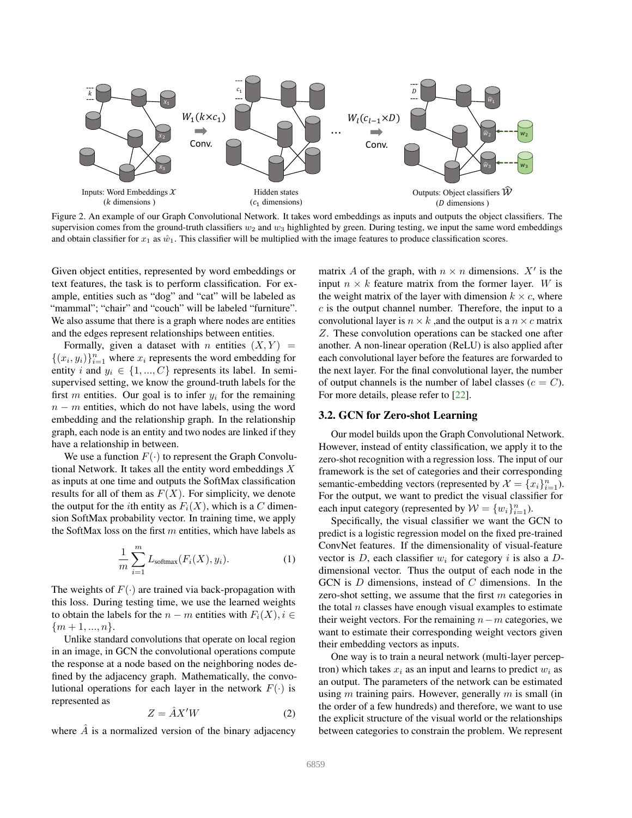<span id="page-2-1"></span>

<span id="page-2-0"></span>Figure 2. An example of our Graph Convolutional Network. It takes word embeddings as inputs and outputs the object classifiers. The supervision comes from the ground-truth classifiers  $w_2$  and  $w_3$  highlighted by green. During testing, we input the same word embeddings and obtain classifier for  $x_1$  as  $\hat{w}_1$ . This classifier will be multiplied with the image features to produce classification scores.

Given object entities, represented by word embeddings or text features, the task is to perform classification. For example, entities such as "dog" and "cat" will be labeled as "mammal"; "chair" and "couch" will be labeled "furniture". We also assume that there is a graph where nodes are entities and the edges represent relationships between entities.

Formally, given a dataset with n entities  $(X, Y)$  =  $\{(x_i, y_i)\}_{i=1}^n$  where  $x_i$  represents the word embedding for entity i and  $y_i \in \{1, ..., C\}$  represents its label. In semisupervised setting, we know the ground-truth labels for the first m entities. Our goal is to infer  $y_i$  for the remaining  $n - m$  entities, which do not have labels, using the word embedding and the relationship graph. In the relationship graph, each node is an entity and two nodes are linked if they have a relationship in between.

We use a function  $F(\cdot)$  to represent the Graph Convolutional Network. It takes all the entity word embeddings X as inputs at one time and outputs the SoftMax classification results for all of them as  $F(X)$ . For simplicity, we denote the output for the *i*th entity as  $F_i(X)$ , which is a C dimension SoftMax probability vector. In training time, we apply the SoftMax loss on the first  $m$  entities, which have labels as

$$
\frac{1}{m}\sum_{i=1}^{m} L_{\text{softmax}}(F_i(X), y_i). \tag{1}
$$

The weights of  $F(\cdot)$  are trained via back-propagation with this loss. During testing time, we use the learned weights to obtain the labels for the  $n - m$  entities with  $F_i(X)$ ,  $i \in$  $\{m+1, ..., n\}.$ 

Unlike standard convolutions that operate on local region in an image, in GCN the convolutional operations compute the response at a node based on the neighboring nodes defined by the adjacency graph. Mathematically, the convolutional operations for each layer in the network  $F(\cdot)$  is represented as

$$
Z = \hat{A}X'W
$$
 (2)

where  $\overline{A}$  is a normalized version of the binary adjacency

matrix A of the graph, with  $n \times n$  dimensions.  $X'$  is the input  $n \times k$  feature matrix from the former layer. W is the weight matrix of the layer with dimension  $k \times c$ , where  $c$  is the output channel number. Therefore, the input to a convolutional layer is  $n \times k$ , and the output is a  $n \times c$  matrix Z. These convolution operations can be stacked one after another. A non-linear operation (ReLU) is also applied after each convolutional layer before the features are forwarded to the next layer. For the final convolutional layer, the number of output channels is the number of label classes ( $c = C$ ). For more details, please refer to [\[22\]](#page-8-3).

## 3.2. GCN for Zero-shot Learning

Our model builds upon the Graph Convolutional Network. However, instead of entity classification, we apply it to the zero-shot recognition with a regression loss. The input of our framework is the set of categories and their corresponding semantic-embedding vectors (represented by  $\mathcal{X} = \{x_i\}_{i=1}^n$ ). For the output, we want to predict the visual classifier for each input category (represented by  $W = \{w_i\}_{i=1}^n$ ).

Specifically, the visual classifier we want the GCN to predict is a logistic regression model on the fixed pre-trained ConvNet features. If the dimensionality of visual-feature vector is D, each classifier  $w_i$  for category i is also a Ddimensional vector. Thus the output of each node in the GCN is  $D$  dimensions, instead of  $C$  dimensions. In the zero-shot setting, we assume that the first  $m$  categories in the total  $n$  classes have enough visual examples to estimate their weight vectors. For the remaining  $n-m$  categories, we want to estimate their corresponding weight vectors given their embedding vectors as inputs.

One way is to train a neural network (multi-layer perceptron) which takes  $x_i$  as an input and learns to predict  $w_i$  as an output. The parameters of the network can be estimated using  $m$  training pairs. However, generally  $m$  is small (in the order of a few hundreds) and therefore, we want to use the explicit structure of the visual world or the relationships between categories to constrain the problem. We represent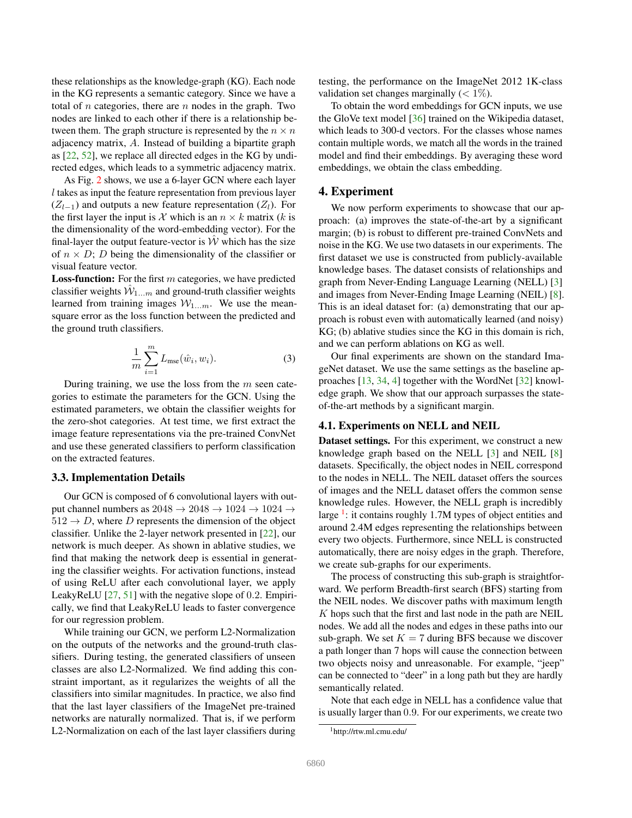<span id="page-3-1"></span>these relationships as the knowledge-graph (KG). Each node in the KG represents a semantic category. Since we have a total of  $n$  categories, there are  $n$  nodes in the graph. Two nodes are linked to each other if there is a relationship between them. The graph structure is represented by the  $n \times n$ adjacency matrix, A. Instead of building a bipartite graph as [\[22,](#page-8-3) [52\]](#page-9-9), we replace all directed edges in the KG by undirected edges, which leads to a symmetric adjacency matrix.

As Fig. [2](#page-2-0) shows, we use a 6-layer GCN where each layer l takes as input the feature representation from previous layer  $(Z_{l-1})$  and outputs a new feature representation  $(Z_l)$ . For the first layer the input is X which is an  $n \times k$  matrix (k is the dimensionality of the word-embedding vector). For the final-layer the output feature-vector is  $W$  which has the size of  $n \times D$ ; D being the dimensionality of the classifier or visual feature vector.

**Loss-function:** For the first  $m$  categories, we have predicted classifier weights  $\hat{W}_{1...m}$  and ground-truth classifier weights learned from training images  $W_{1...m}$ . We use the meansquare error as the loss function between the predicted and the ground truth classifiers.

$$
\frac{1}{m}\sum_{i=1}^{m}L_{\text{mse}}(\hat{w}_i, w_i).
$$
\n(3)

During training, we use the loss from the  $m$  seen categories to estimate the parameters for the GCN. Using the estimated parameters, we obtain the classifier weights for the zero-shot categories. At test time, we first extract the image feature representations via the pre-trained ConvNet and use these generated classifiers to perform classification on the extracted features.

## 3.3. Implementation Details

Our GCN is composed of 6 convolutional layers with output channel numbers as  $2048 \rightarrow 2048 \rightarrow 1024 \rightarrow 1024 \rightarrow$  $512 \rightarrow D$ , where D represents the dimension of the object classifier. Unlike the 2-layer network presented in [\[22\]](#page-8-3), our network is much deeper. As shown in ablative studies, we find that making the network deep is essential in generating the classifier weights. For activation functions, instead of using ReLU after each convolutional layer, we apply LeakyReLU [\[27,](#page-8-31) [51\]](#page-9-10) with the negative slope of 0.2. Empirically, we find that LeakyReLU leads to faster convergence for our regression problem.

While training our GCN, we perform L2-Normalization on the outputs of the networks and the ground-truth classifiers. During testing, the generated classifiers of unseen classes are also L2-Normalized. We find adding this constraint important, as it regularizes the weights of all the classifiers into similar magnitudes. In practice, we also find that the last layer classifiers of the ImageNet pre-trained networks are naturally normalized. That is, if we perform L2-Normalization on each of the last layer classifiers during

testing, the performance on the ImageNet 2012 1K-class validation set changes marginally  $(< 1\%)$ .

To obtain the word embeddings for GCN inputs, we use the GloVe text model [\[36\]](#page-8-32) trained on the Wikipedia dataset, which leads to 300-d vectors. For the classes whose names contain multiple words, we match all the words in the trained model and find their embeddings. By averaging these word embeddings, we obtain the class embedding.

## 4. Experiment

We now perform experiments to showcase that our approach: (a) improves the state-of-the-art by a significant margin; (b) is robust to different pre-trained ConvNets and noise in the KG. We use two datasets in our experiments. The first dataset we use is constructed from publicly-available knowledge bases. The dataset consists of relationships and graph from Never-Ending Language Learning (NELL) [\[3\]](#page-8-33) and images from Never-Ending Image Learning (NEIL) [\[8\]](#page-8-26). This is an ideal dataset for: (a) demonstrating that our approach is robust even with automatically learned (and noisy) KG; (b) ablative studies since the KG in this domain is rich, and we can perform ablations on KG as well.

Our final experiments are shown on the standard ImageNet dataset. We use the same settings as the baseline approaches [\[13,](#page-8-1) [34,](#page-8-0) [4\]](#page-8-20) together with the WordNet [\[32\]](#page-8-34) knowledge graph. We show that our approach surpasses the stateof-the-art methods by a significant margin.

# 4.1. Experiments on NELL and NEIL

Dataset settings. For this experiment, we construct a new knowledge graph based on the NELL [\[3\]](#page-8-33) and NEIL [\[8\]](#page-8-26) datasets. Specifically, the object nodes in NEIL correspond to the nodes in NELL. The NEIL dataset offers the sources of images and the NELL dataset offers the common sense knowledge rules. However, the NELL graph is incredibly large <sup>[1](#page-3-0)</sup>: it contains roughly 1.7M types of object entities and around 2.4M edges representing the relationships between every two objects. Furthermore, since NELL is constructed automatically, there are noisy edges in the graph. Therefore, we create sub-graphs for our experiments.

The process of constructing this sub-graph is straightforward. We perform Breadth-first search (BFS) starting from the NEIL nodes. We discover paths with maximum length  $K$  hops such that the first and last node in the path are NEIL nodes. We add all the nodes and edges in these paths into our sub-graph. We set  $K = 7$  during BFS because we discover a path longer than 7 hops will cause the connection between two objects noisy and unreasonable. For example, "jeep" can be connected to "deer" in a long path but they are hardly semantically related.

Note that each edge in NELL has a confidence value that is usually larger than 0.9. For our experiments, we create two

<span id="page-3-0"></span><sup>1</sup>http://rtw.ml.cmu.edu/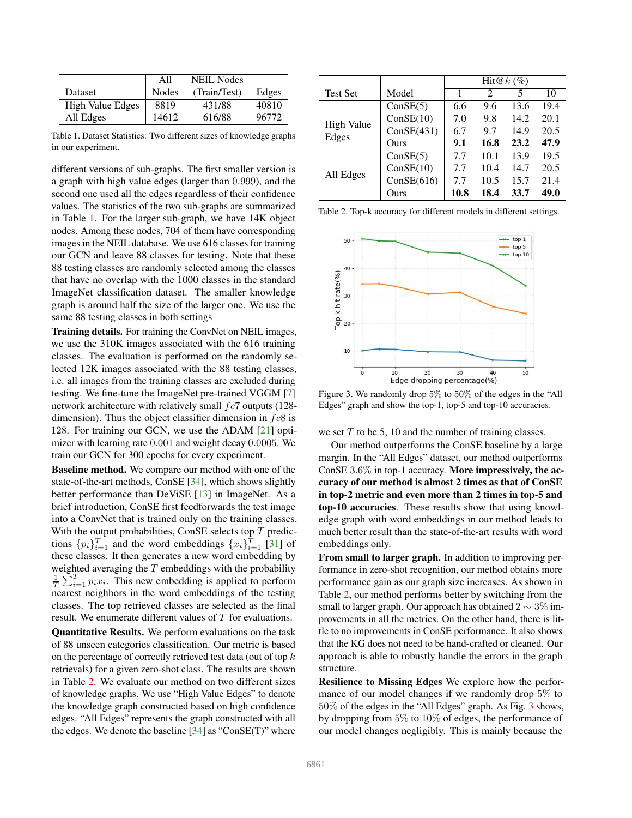<span id="page-4-3"></span>

|                         | All          | <b>NEIL Nodes</b> |       |
|-------------------------|--------------|-------------------|-------|
| Dataset                 | <b>Nodes</b> | (Train/Test)      | Edges |
| <b>High Value Edges</b> | 8819         | 431/88            | 40810 |
| All Edges               | 14612        | 616/88            | 96772 |

<span id="page-4-0"></span>Table 1. Dataset Statistics: Two different sizes of knowledge graphs in our experiment.

different versions of sub-graphs. The first smaller version is a graph with high value edges (larger than 0.999), and the second one used all the edges regardless of their confidence values. The statistics of the two sub-graphs are summarized in Table [1.](#page-4-0) For the larger sub-graph, we have 14K object nodes. Among these nodes, 704 of them have corresponding images in the NEIL database. We use 616 classes for training our GCN and leave 88 classes for testing. Note that these 88 testing classes are randomly selected among the classes that have no overlap with the 1000 classes in the standard ImageNet classification dataset. The smaller knowledge graph is around half the size of the larger one. We use the same 88 testing classes in both settings

Training details. For training the ConvNet on NEIL images, we use the 310K images associated with the 616 training classes. The evaluation is performed on the randomly selected 12K images associated with the 88 testing classes, i.e. all images from the training classes are excluded during testing. We fine-tune the ImageNet pre-trained VGGM [\[7\]](#page-8-35) network architecture with relatively small  $fc7$  outputs (128dimension). Thus the object classifier dimension in  $f \circ 8$  is 128. For training our GCN, we use the ADAM [\[21\]](#page-8-36) optimizer with learning rate 0.001 and weight decay 0.0005. We train our GCN for 300 epochs for every experiment.

Baseline method. We compare our method with one of the state-of-the-art methods, ConSE [\[34\]](#page-8-0), which shows slightly better performance than DeViSE [\[13\]](#page-8-1) in ImageNet. As a brief introduction, ConSE first feedforwards the test image into a ConvNet that is trained only on the training classes. With the output probabilities, ConSE selects top  $T$  predictions  $\{p_i\}_{i=1}^T$  and the word embeddings  $\{x_i\}_{i=1}^T$  [\[31\]](#page-8-37) of these classes. It then generates a new word embedding by weighted averaging the  $T$  embeddings with the probability  $\frac{1}{T} \sum_{i=1}^{T} p_i x_i$ . This new embedding is applied to perform nearest neighbors in the word embeddings of the testing classes. The top retrieved classes are selected as the final result. We enumerate different values of T for evaluations.

Quantitative Results. We perform evaluations on the task of 88 unseen categories classification. Our metric is based on the percentage of correctly retrieved test data (out of top k retrievals) for a given zero-shot class. The results are shown in Table [2.](#page-4-1) We evaluate our method on two different sizes of knowledge graphs. We use "High Value Edges" to denote the knowledge graph constructed based on high confidence edges. "All Edges" represents the graph constructed with all the edges. We denote the baseline [\[34\]](#page-8-0) as "ConSE(T)" where

|                   |            | Hit@ $k(\%)$ |      |      |      |
|-------------------|------------|--------------|------|------|------|
| <b>Test Set</b>   | Model      | 1            | 2    | 5    | 10   |
|                   | ConSE(5)   | 6.6          | 9.6  | 13.6 | 19.4 |
| <b>High Value</b> | ConSE(10)  | 7.0          | 9.8  | 14.2 | 20.1 |
|                   | ConSE(431) | 6.7          | 9.7  | 14.9 | 20.5 |
| Edges<br>Ours     |            | 9.1          | 16.8 | 23.2 | 47.9 |
|                   | ConSE(5)   | 7.7          | 10.1 | 13.9 | 19.5 |
| All Edges         | ConSE(10)  | 7.7          | 10.4 | 14.7 | 20.5 |
|                   | ConSE(616) | 7.7          | 10.5 | 15.7 | 21.4 |
|                   | Ours       | 10.8         | 18.4 | 33.7 | 49.0 |

<span id="page-4-1"></span>Table 2. Top-k accuracy for different models in different settings.



<span id="page-4-2"></span>Figure 3. We randomly drop 5% to 50% of the edges in the "All Edges" graph and show the top-1, top-5 and top-10 accuracies.

we set  $T$  to be 5, 10 and the number of training classes.

Our method outperforms the ConSE baseline by a large margin. In the "All Edges" dataset, our method outperforms ConSE 3.6% in top-1 accuracy. More impressively, the accuracy of our method is almost 2 times as that of ConSE in top-2 metric and even more than 2 times in top-5 and top-10 accuracies. These results show that using knowledge graph with word embeddings in our method leads to much better result than the state-of-the-art results with word embeddings only.

From small to larger graph. In addition to improving performance in zero-shot recognition, our method obtains more performance gain as our graph size increases. As shown in Table [2,](#page-4-1) our method performs better by switching from the small to larger graph. Our approach has obtained  $2 \sim 3\%$  improvements in all the metrics. On the other hand, there is little to no improvements in ConSE performance. It also shows that the KG does not need to be hand-crafted or cleaned. Our approach is able to robustly handle the errors in the graph structure.

Resilience to Missing Edges We explore how the performance of our model changes if we randomly drop 5% to 50% of the edges in the "All Edges" graph. As Fig. [3](#page-4-2) shows, by dropping from 5% to 10% of edges, the performance of our model changes negligibly. This is mainly because the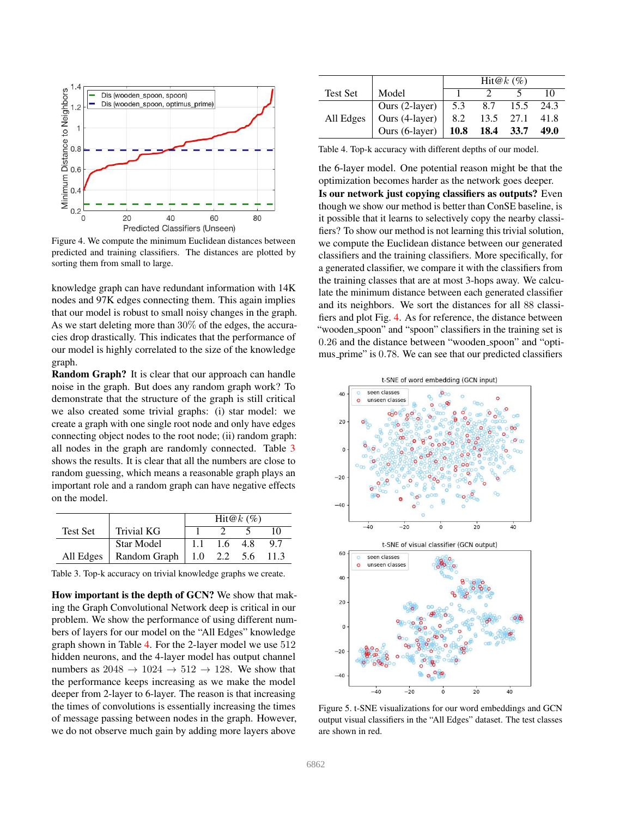

<span id="page-5-2"></span>Figure 4. We compute the minimum Euclidean distances between predicted and training classifiers. The distances are plotted by sorting them from small to large.

knowledge graph can have redundant information with 14K nodes and 97K edges connecting them. This again implies that our model is robust to small noisy changes in the graph. As we start deleting more than 30% of the edges, the accuracies drop drastically. This indicates that the performance of our model is highly correlated to the size of the knowledge graph.

Random Graph? It is clear that our approach can handle noise in the graph. But does any random graph work? To demonstrate that the structure of the graph is still critical we also created some trivial graphs: (i) star model: we create a graph with one single root node and only have edges connecting object nodes to the root node; (ii) random graph: all nodes in the graph are randomly connected. Table [3](#page-5-0) shows the results. It is clear that all the numbers are close to random guessing, which means a reasonable graph plays an important role and a random graph can have negative effects on the model.

|           |                                  | $Hit@k$ (%) |           |  |     |
|-----------|----------------------------------|-------------|-----------|--|-----|
| Test Set  | <b>Trivial KG</b>                |             |           |  |     |
|           | Star Model                       | 1.1         | $1.6$ 4.8 |  | 9.7 |
| All Edges | Random Graph $\vert$ 1.0 2.2 5.6 |             |           |  |     |

<span id="page-5-0"></span>Table 3. Top-k accuracy on trivial knowledge graphs we create.

How important is the depth of GCN? We show that making the Graph Convolutional Network deep is critical in our problem. We show the performance of using different numbers of layers for our model on the "All Edges" knowledge graph shown in Table [4.](#page-5-1) For the 2-layer model we use 512 hidden neurons, and the 4-layer model has output channel numbers as  $2048 \rightarrow 1024 \rightarrow 512 \rightarrow 128$ . We show that the performance keeps increasing as we make the model deeper from 2-layer to 6-layer. The reason is that increasing the times of convolutions is essentially increasing the times of message passing between nodes in the graph. However, we do not observe much gain by adding more layers above

|                 |                                  | $Hit@k$ (%) |                |      |      |
|-----------------|----------------------------------|-------------|----------------|------|------|
| <b>Test Set</b> | Model                            |             |                |      | 10   |
|                 |                                  | 5.3         | 8.7            | 15.5 | 24.3 |
| All Edges       | Ours (2-layer)<br>Ours (4-layer) | 8.2         | 13.5 27.1      |      | 41.8 |
|                 | Ours $(6$ -layer)                |             | 10.8 18.4 33.7 |      | 49.0 |

<span id="page-5-1"></span>Table 4. Top-k accuracy with different depths of our model.

the 6-layer model. One potential reason might be that the optimization becomes harder as the network goes deeper.

Is our network just copying classifiers as outputs? Even though we show our method is better than ConSE baseline, is it possible that it learns to selectively copy the nearby classifiers? To show our method is not learning this trivial solution, we compute the Euclidean distance between our generated classifiers and the training classifiers. More specifically, for a generated classifier, we compare it with the classifiers from the training classes that are at most 3-hops away. We calculate the minimum distance between each generated classifier and its neighbors. We sort the distances for all 88 classifiers and plot Fig. [4.](#page-5-2) As for reference, the distance between "wooden spoon" and "spoon" classifiers in the training set is 0.26 and the distance between "wooden spoon" and "optimus prime" is 0.78. We can see that our predicted classifiers



<span id="page-5-3"></span>Figure 5. t-SNE visualizations for our word embeddings and GCN output visual classifiers in the "All Edges" dataset. The test classes are shown in red.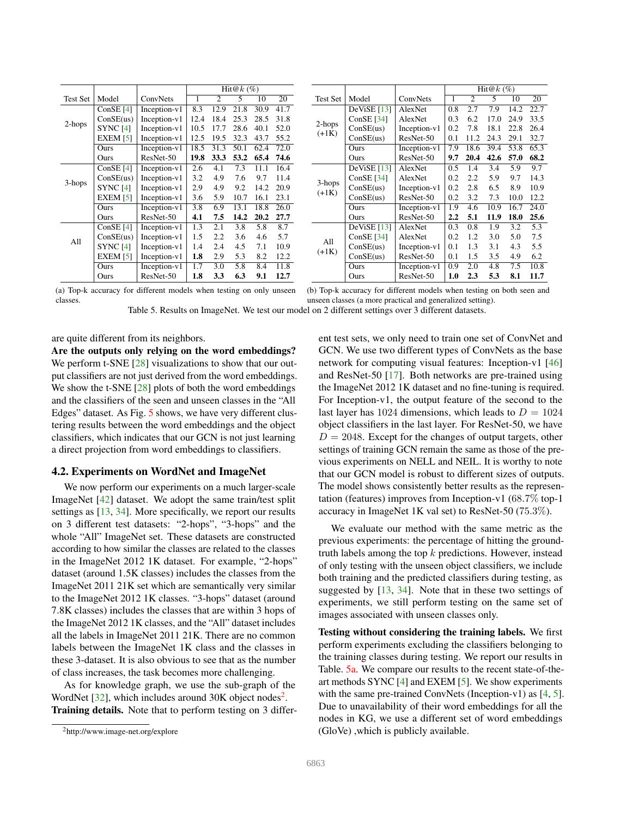<span id="page-6-3"></span><span id="page-6-1"></span>

|                 |                     |                | $Hit@k$ (%) |                  |      |      |      |
|-----------------|---------------------|----------------|-------------|------------------|------|------|------|
| <b>Test Set</b> | Model               | ConvNets       | 1           | 2                | 5    | 10   | 20   |
|                 | ConSE $[4]$         | $Inception-v1$ | 8.3         | 12.9             | 21.8 | 30.9 | 41.7 |
| 2-hops          | ConSE(us)           | Inception-v1   | 12.4        | 18.4             | 25.3 | 28.5 | 31.8 |
|                 | SYNC <sub>[4]</sub> | Inception-v1   | 10.5        | 17.7             | 28.6 | 40.1 | 52.0 |
|                 | EXEM $[5]$          | Inception-v1   | 12.5        | 19.5             | 32.3 | 43.7 | 55.2 |
|                 | Ours                | $Inception-v1$ | 18.5        | 31.3             | 50.1 | 62.4 | 72.0 |
|                 | Ours                | ResNet-50      | 19.8        | 33.3             | 53.2 | 65.4 | 74.6 |
|                 | ConSE $[4]$         | Inception-v1   | 2.6         | 4.1              | 7.3  | 11.1 | 16.4 |
| 3-hops          | ConSE(us)           | Inception-v1   | 3.2         | 4.9              | 7.6  | 9.7  | 11.4 |
|                 | <b>SYNC [4]</b>     | Inception-v1   | 2.9         | 4.9              | 9.2  | 14.2 | 20.9 |
|                 | EXEM $[5]$          | Inception-v1   | 3.6         | 5.9              | 10.7 | 16.1 | 23.1 |
|                 | Ours                | $Inception-v1$ | 3.8         | 6.9              | 13.1 | 18.8 | 26.0 |
|                 | Ours                | ResNet-50      | 4.1         | 7.5              | 14.2 | 20.2 | 27.7 |
|                 | ConSE $[4]$         | Inception-v1   | 1.3         | 2.1              | 3.8  | 5.8  | 8.7  |
| All             | ConSE(us)           | Inception-v1   | 1.5         | $2.2\phantom{0}$ | 3.6  | 4.6  | 5.7  |
|                 | <b>SYNC [4]</b>     | Inception-v1   | 1.4         | 2.4              | 4.5  | 7.1  | 10.9 |
|                 | EXEM $[5]$          | Inception-v1   | 1.8         | 2.9              | 5.3  | 8.2  | 12.2 |
|                 | Ours                | Inception-v1   | 1.7         | 3.0              | 5.8  | 8.4  | 11.8 |
|                 | Ours                | ResNet-50      | 1.8         | 3.3              | 6.3  | 9.1  | 12.7 |

<span id="page-6-2"></span>

|          |              |                | $Hit@k$ (%)      |                  |      |      |      |
|----------|--------------|----------------|------------------|------------------|------|------|------|
| Test Set | Model        | ConvNets       | 1                | $\overline{c}$   | 5    | 10   | 20   |
|          | DeViSE [13]  | AlexNet        | 0.8              | 2.7              | 7.9  | 14.2 | 22.7 |
| 2-hops   | ConSE $[34]$ | AlexNet        | 0.3              | 6.2              | 17.0 | 24.9 | 33.5 |
| $(+1K)$  | ConSE(us)    | $Inception-v1$ | 0.2              | 7.8              | 18.1 | 22.8 | 26.4 |
|          | ConSE(us)    | ResNet-50      | 0.1              | 11.2             | 24.3 | 29.1 | 32.7 |
|          | Ours         | Inception-v1   | 7.9              | 18.6             | 39.4 | 53.8 | 65.3 |
|          | Ours         | ResNet-50      | 9.7              | 20.4             | 42.6 | 57.0 | 68.2 |
|          | DeViSE [13]  | AlexNet        | 0.5              | 1.4              | 3.4  | 5.9  | 9.7  |
| 3-hops   | ConSE $[34]$ | AlexNet        | 0.2              | $2.2\phantom{0}$ | 5.9  | 9.7  | 14.3 |
| $(+1K)$  | ConSE(us)    | Inception-v1   | 0.2              | 2.8              | 6.5  | 8.9  | 10.9 |
|          | ConSE(us)    | ResNet-50      | 0.2              | 3.2              | 7.3  | 10.0 | 12.2 |
|          | Ours         | $Inception-v1$ | 1.9              | 4.6              | 10.9 | 16.7 | 24.0 |
|          | Ours         | ResNet-50      | $2.2\phantom{0}$ | 5.1              | 11.9 | 18.0 | 25.6 |
|          | DeViSE [13]  | AlexNet        | 0.3              | 0.8              | 1.9  | 3.2  | 5.3  |
| A11      | ConSE $[34]$ | AlexNet        | 0.2              | 1.2              | 3.0  | 5.0  | 7.5  |
| $(+1K)$  | ConSE(us)    | $Inception-v1$ | 0.1              | 1.3              | 3.1  | 4.3  | 5.5  |
|          | ConSE(us)    | ResNet-50      | 0.1              | 1.5              | 3.5  | 4.9  | 6.2  |
|          | Ours         | $Inception-v1$ | 0.9              | 2.0              | 4.8  | 7.5  | 10.8 |
|          | Ours         | ResNet-50      | 1.0              | 2.3              | 5.3  | 8.1  | 11.7 |

(a) Top-k accuracy for different models when testing on only unseen classes.

(b) Top-k accuracy for different models when testing on both seen and unseen classes (a more practical and generalized setting).

Table 5. Results on ImageNet. We test our model on 2 different settings over 3 different datasets.

are quite different from its neighbors.

Are the outputs only relying on the word embeddings? We perform t-SNE [\[28\]](#page-8-38) visualizations to show that our output classifiers are not just derived from the word embeddings. We show the t-SNE [\[28\]](#page-8-38) plots of both the word embeddings and the classifiers of the seen and unseen classes in the "All Edges" dataset. As Fig. [5](#page-5-3) shows, we have very different clustering results between the word embeddings and the object classifiers, which indicates that our GCN is not just learning a direct projection from word embeddings to classifiers.

#### 4.2. Experiments on WordNet and ImageNet

We now perform our experiments on a much larger-scale ImageNet [\[42\]](#page-8-39) dataset. We adopt the same train/test split settings as [\[13,](#page-8-1) [34\]](#page-8-0). More specifically, we report our results on 3 different test datasets: "2-hops", "3-hops" and the whole "All" ImageNet set. These datasets are constructed according to how similar the classes are related to the classes in the ImageNet 2012 1K dataset. For example, "2-hops" dataset (around 1.5K classes) includes the classes from the ImageNet 2011 21K set which are semantically very similar to the ImageNet 2012 1K classes. "3-hops" dataset (around 7.8K classes) includes the classes that are within 3 hops of the ImageNet 2012 1K classes, and the "All" dataset includes all the labels in ImageNet 2011 21K. There are no common labels between the ImageNet 1K class and the classes in these 3-dataset. It is also obvious to see that as the number of class increases, the task becomes more challenging.

As for knowledge graph, we use the sub-graph of the WordNet [\[32\]](#page-8-34), which includes around 30K object nodes<sup>[2](#page-6-0)</sup>. Training details. Note that to perform testing on 3 different test sets, we only need to train one set of ConvNet and GCN. We use two different types of ConvNets as the base network for computing visual features: Inception-v1 [\[46\]](#page-9-11) and ResNet-50 [\[17\]](#page-8-40). Both networks are pre-trained using the ImageNet 2012 1K dataset and no fine-tuning is required. For Inception-v1, the output feature of the second to the last layer has 1024 dimensions, which leads to  $D = 1024$ object classifiers in the last layer. For ResNet-50, we have  $D = 2048$ . Except for the changes of output targets, other settings of training GCN remain the same as those of the previous experiments on NELL and NEIL. It is worthy to note that our GCN model is robust to different sizes of outputs. The model shows consistently better results as the representation (features) improves from Inception-v1 (68.7% top-1 accuracy in ImageNet 1K val set) to ResNet-50 (75.3%).

We evaluate our method with the same metric as the previous experiments: the percentage of hitting the groundtruth labels among the top  $k$  predictions. However, instead of only testing with the unseen object classifiers, we include both training and the predicted classifiers during testing, as suggested by [\[13,](#page-8-1) [34\]](#page-8-0). Note that in these two settings of experiments, we still perform testing on the same set of images associated with unseen classes only.

Testing without considering the training labels. We first perform experiments excluding the classifiers belonging to the training classes during testing. We report our results in Table. [5a.](#page-6-1) We compare our results to the recent state-of-theart methods SYNC [\[4\]](#page-8-20) and EXEM [\[5\]](#page-8-6). We show experiments with the same pre-trained ConvNets (Inception-v1) as [\[4,](#page-8-20) [5\]](#page-8-6). Due to unavailability of their word embeddings for all the nodes in KG, we use a different set of word embeddings (GloVe) ,which is publicly available.

<span id="page-6-0"></span><sup>2</sup>http://www.image-net.org/explore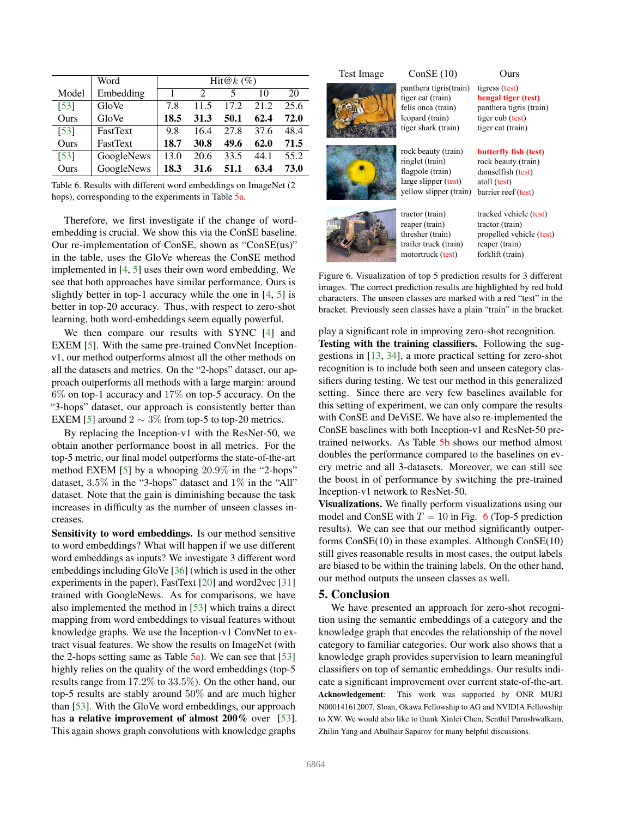<span id="page-7-1"></span>

|                    | Word            | Hit $@k$ (%) |                       |      |      |      |  |
|--------------------|-----------------|--------------|-----------------------|------|------|------|--|
| Model              | Embedding       |              | $\mathcal{D}_{\cdot}$ | 5    | 10   | 20   |  |
| [53]               | GloVe           | 7.8          | 11.5                  | 17.2 | 21.2 | 25.6 |  |
| Ours               | GloVe           | 18.5         | 31.3                  | 50.1 | 62.4 | 72.0 |  |
| $\lceil 53 \rceil$ | <b>FastText</b> | 9.8          | 16.4                  | 27.8 | 37.6 | 48.4 |  |
| Ours               | <b>FastText</b> | 18.7         | 30.8                  | 49.6 | 62.0 | 71.5 |  |
| [53]               | GoogleNews      | 13.0         | 20.6                  | 33.5 | 44.1 | 55.2 |  |
| Ours               | GoogleNews      | 18.3         | 31.6                  | 51.1 | 63.4 | 73.0 |  |

Table 6. Results with different word embeddings on ImageNet (2 hops), corresponding to the experiments in Table [5a.](#page-6-1)

Therefore, we first investigate if the change of wordembedding is crucial. We show this via the ConSE baseline. Our re-implementation of ConSE, shown as "ConSE(us)" in the table, uses the GloVe whereas the ConSE method implemented in [\[4,](#page-8-20) [5\]](#page-8-6) uses their own word embedding. We see that both approaches have similar performance. Ours is slightly better in top-1 accuracy while the one in  $[4, 5]$  $[4, 5]$  $[4, 5]$  is better in top-20 accuracy. Thus, with respect to zero-shot learning, both word-embeddings seem equally powerful.

We then compare our results with SYNC [\[4\]](#page-8-20) and EXEM [\[5\]](#page-8-6). With the same pre-trained ConvNet Inceptionv1, our method outperforms almost all the other methods on all the datasets and metrics. On the "2-hops" dataset, our approach outperforms all methods with a large margin: around 6% on top-1 accuracy and 17% on top-5 accuracy. On the "3-hops" dataset, our approach is consistently better than EXEM [\[5\]](#page-8-6) around  $2 \sim 3\%$  from top-5 to top-20 metrics.

By replacing the Inception-v1 with the ResNet-50, we obtain another performance boost in all metrics. For the top-5 metric, our final model outperforms the state-of-the-art method EXEM [\[5\]](#page-8-6) by a whooping 20.9% in the "2-hops" dataset, 3.5% in the "3-hops" dataset and 1% in the "All" dataset. Note that the gain is diminishing because the task increases in difficulty as the number of unseen classes increases.

Sensitivity to word embeddings. Is our method sensitive to word embeddings? What will happen if we use different word embeddings as inputs? We investigate 3 different word embeddings including GloVe [\[36\]](#page-8-32) (which is used in the other experiments in the paper), FastText  $[20]$  and word2vec  $[31]$ trained with GoogleNews. As for comparisons, we have also implemented the method in [\[53\]](#page-9-12) which trains a direct mapping from word embeddings to visual features without knowledge graphs. We use the Inception-v1 ConvNet to extract visual features. We show the results on ImageNet (with the 2-hops setting same as Table  $\overline{5a}$ ). We can see that [\[53\]](#page-9-12) highly relies on the quality of the word embeddings (top-5) results range from 17.2% to 33.5%). On the other hand, our top-5 results are stably around 50% and are much higher than [\[53\]](#page-9-12). With the GloVe word embeddings, our approach has a relative improvement of almost  $200\%$  over [\[53\]](#page-9-12). This again shows graph convolutions with knowledge graphs

## Test Image ConSE (10) Ours





n)

large slipper (test) yellow slipper (train) tractor (train)

tigress (test) **bengal tiger (test)**  panthera tigris (train) tiger cub (test) tiger cat (train)

**butterfly fish (test)**  rock beauty (train)

damselfish (test) atoll (test) barrier reef (test)

reaper (train) thresher (train) trailer truck (train) motortruck (test)

tracked vehicle (test) tractor (train) propelled vehicle (test) reaper (train) forklift (train)

<span id="page-7-0"></span>Figure 6. Visualization of top 5 prediction results for 3 different images. The correct prediction results are highlighted by red bold characters. The unseen classes are marked with a red "test" in the bracket. Previously seen classes have a plain "train" in the bracket.

play a significant role in improving zero-shot recognition. Testing with the training classifiers. Following the suggestions in [\[13,](#page-8-1) [34\]](#page-8-0), a more practical setting for zero-shot recognition is to include both seen and unseen category classifiers during testing. We test our method in this generalized setting. Since there are very few baselines available for this setting of experiment, we can only compare the results with ConSE and DeViSE. We have also re-implemented the ConSE baselines with both Inception-v1 and ResNet-50 pretrained networks. As Table [5b](#page-6-2) shows our method almost doubles the performance compared to the baselines on every metric and all 3-datasets. Moreover, we can still see the boost in of performance by switching the pre-trained Inception-v1 network to ResNet-50.

Visualizations. We finally perform visualizations using our model and ConSE with  $T = 10$  in Fig. [6](#page-7-0) (Top-5 prediction results). We can see that our method significantly outperforms ConSE(10) in these examples. Although ConSE(10) still gives reasonable results in most cases, the output labels are biased to be within the training labels. On the other hand, our method outputs the unseen classes as well.

## 5. Conclusion

We have presented an approach for zero-shot recognition using the semantic embeddings of a category and the knowledge graph that encodes the relationship of the novel category to familiar categories. Our work also shows that a knowledge graph provides supervision to learn meaningful classifiers on top of semantic embeddings. Our results indicate a significant improvement over current state-of-the-art. Acknowledgement: This work was supported by ONR MURI N000141612007, Sloan, Okawa Fellowship to AG and NVIDIA Fellowship to XW. We would also like to thank Xinlei Chen, Senthil Purushwalkam, Zhilin Yang and Abulhair Saparov for many helpful discussions.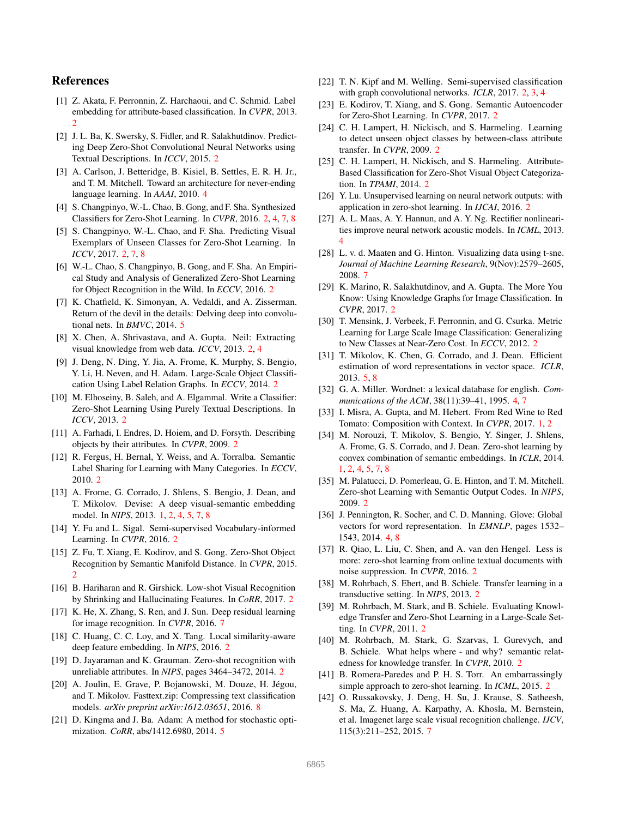# References

- <span id="page-8-12"></span>[1] Z. Akata, F. Perronnin, Z. Harchaoui, and C. Schmid. Label embedding for attribute-based classification. In *CVPR*, 2013. [2](#page-1-0)
- <span id="page-8-30"></span>[2] J. L. Ba, K. Swersky, S. Fidler, and R. Salakhutdinov. Predicting Deep Zero-Shot Convolutional Neural Networks using Textual Descriptions. In *ICCV*, 2015. [2](#page-1-0)
- <span id="page-8-33"></span>[3] A. Carlson, J. Betteridge, B. Kisiel, B. Settles, E. R. H. Jr., and T. M. Mitchell. Toward an architecture for never-ending language learning. In *AAAI*, 2010. [4](#page-3-1)
- <span id="page-8-20"></span>[4] S. Changpinyo, W.-L. Chao, B. Gong, and F. Sha. Synthesized Classifiers for Zero-Shot Learning. In *CVPR*, 2016. [2,](#page-1-0) [4,](#page-3-1) [7,](#page-6-3) [8](#page-7-1)
- <span id="page-8-6"></span>[5] S. Changpinyo, W.-L. Chao, and F. Sha. Predicting Visual Exemplars of Unseen Classes for Zero-Shot Learning. In *ICCV*, 2017. [2,](#page-1-0) [7,](#page-6-3) [8](#page-7-1)
- <span id="page-8-5"></span>[6] W.-L. Chao, S. Changpinyo, B. Gong, and F. Sha. An Empirical Study and Analysis of Generalized Zero-Shot Learning for Object Recognition in the Wild. In *ECCV*, 2016. [2](#page-1-0)
- <span id="page-8-35"></span>[7] K. Chatfield, K. Simonyan, A. Vedaldi, and A. Zisserman. Return of the devil in the details: Delving deep into convolutional nets. In *BMVC*, 2014. [5](#page-4-3)
- <span id="page-8-26"></span>[8] X. Chen, A. Shrivastava, and A. Gupta. Neil: Extracting visual knowledge from web data. *ICCV*, 2013. [2,](#page-1-0) [4](#page-3-1)
- <span id="page-8-25"></span>[9] J. Deng, N. Ding, Y. Jia, A. Frome, K. Murphy, S. Bengio, Y. Li, H. Neven, and H. Adam. Large-Scale Object Classification Using Label Relation Graphs. In *ECCV*, 2014. [2](#page-1-0)
- <span id="page-8-29"></span>[10] M. Elhoseiny, B. Saleh, and A. Elgammal. Write a Classifier: Zero-Shot Learning Using Purely Textual Descriptions. In *ICCV*, 2013. [2](#page-1-0)
- <span id="page-8-7"></span>[11] A. Farhadi, I. Endres, D. Hoiem, and D. Forsyth. Describing objects by their attributes. In *CVPR*, 2009. [2](#page-1-0)
- <span id="page-8-21"></span>[12] R. Fergus, H. Bernal, Y. Weiss, and A. Torralba. Semantic Label Sharing for Learning with Many Categories. In *ECCV*, 2010. [2](#page-1-0)
- <span id="page-8-1"></span>[13] A. Frome, G. Corrado, J. Shlens, S. Bengio, J. Dean, and T. Mikolov. Devise: A deep visual-semantic embedding model. In *NIPS*, 2013. [1,](#page-0-1) [2,](#page-1-0) [4,](#page-3-1) [5,](#page-4-3) [7,](#page-6-3) [8](#page-7-1)
- <span id="page-8-17"></span>[14] Y. Fu and L. Sigal. Semi-supervised Vocabulary-informed Learning. In *CVPR*, 2016. [2](#page-1-0)
- <span id="page-8-16"></span>[15] Z. Fu, T. Xiang, E. Kodirov, and S. Gong. Zero-Shot Object Recognition by Semantic Manifold Distance. In *CVPR*, 2015. [2](#page-1-0)
- <span id="page-8-4"></span>[16] B. Hariharan and R. Girshick. Low-shot Visual Recognition by Shrinking and Hallucinating Features. In *CoRR*, 2017. [2](#page-1-0)
- <span id="page-8-40"></span>[17] K. He, X. Zhang, S. Ren, and J. Sun. Deep residual learning for image recognition. In *CVPR*, 2016. [7](#page-6-3)
- <span id="page-8-18"></span>[18] C. Huang, C. C. Loy, and X. Tang. Local similarity-aware deep feature embedding. In *NIPS*, 2016. [2](#page-1-0)
- <span id="page-8-9"></span>[19] D. Jayaraman and K. Grauman. Zero-shot recognition with unreliable attributes. In *NIPS*, pages 3464–3472, 2014. [2](#page-1-0)
- <span id="page-8-41"></span>[20] A. Joulin, E. Grave, P. Bojanowski, M. Douze, H. Jégou, and T. Mikolov. Fasttext.zip: Compressing text classification models. *arXiv preprint arXiv:1612.03651*, 2016. [8](#page-7-1)
- <span id="page-8-36"></span>[21] D. Kingma and J. Ba. Adam: A method for stochastic optimization. *CoRR*, abs/1412.6980, 2014. [5](#page-4-3)
- <span id="page-8-3"></span>[22] T. N. Kipf and M. Welling. Semi-supervised classification with graph convolutional networks. *ICLR*, 2017. [2,](#page-1-0) [3,](#page-2-1) [4](#page-3-1)
- <span id="page-8-19"></span>[23] E. Kodirov, T. Xiang, and S. Gong. Semantic Autoencoder for Zero-Shot Learning. In *CVPR*, 2017. [2](#page-1-0)
- <span id="page-8-8"></span>[24] C. H. Lampert, H. Nickisch, and S. Harmeling. Learning. to detect unseen object classes by between-class attribute transfer. In *CVPR*, 2009. [2](#page-1-0)
- <span id="page-8-15"></span>[25] C. H. Lampert, H. Nickisch, and S. Harmeling. Attribute-Based Classification for Zero-Shot Visual Object Categorization. In *TPAMI*, 2014. [2](#page-1-0)
- <span id="page-8-28"></span>[26] Y. Lu. Unsupervised learning on neural network outputs: with application in zero-shot learning. In *IJCAI*, 2016. [2](#page-1-0)
- <span id="page-8-31"></span>[27] A. L. Maas, A. Y. Hannun, and A. Y. Ng. Rectifier nonlinearities improve neural network acoustic models. In *ICML*, 2013. [4](#page-3-1)
- <span id="page-8-38"></span>[28] L. v. d. Maaten and G. Hinton. Visualizing data using t-sne. *Journal of Machine Learning Research*, 9(Nov):2579–2605, 2008. [7](#page-6-3)
- <span id="page-8-27"></span>[29] K. Marino, R. Salakhutdinov, and A. Gupta. The More You Know: Using Knowledge Graphs for Image Classification. In *CVPR*, 2017. [2](#page-1-0)
- <span id="page-8-22"></span>[30] T. Mensink, J. Verbeek, F. Perronnin, and G. Csurka. Metric Learning for Large Scale Image Classification: Generalizing to New Classes at Near-Zero Cost. In *ECCV*, 2012. [2](#page-1-0)
- <span id="page-8-37"></span>[31] T. Mikolov, K. Chen, G. Corrado, and J. Dean. Efficient estimation of word representations in vector space. *ICLR*, 2013. [5,](#page-4-3) [8](#page-7-1)
- <span id="page-8-34"></span>[32] G. A. Miller. Wordnet: a lexical database for english. *Communications of the ACM*, 38(11):39–41, 1995. [4,](#page-3-1) [7](#page-6-3)
- <span id="page-8-2"></span>[33] I. Misra, A. Gupta, and M. Hebert. From Red Wine to Red Tomato: Composition with Context. In *CVPR*, 2017. [1,](#page-0-1) [2](#page-1-0)
- <span id="page-8-0"></span>[34] M. Norouzi, T. Mikolov, S. Bengio, Y. Singer, J. Shlens, A. Frome, G. S. Corrado, and J. Dean. Zero-shot learning by convex combination of semantic embeddings. In *ICLR*, 2014. [1,](#page-0-1) [2,](#page-1-0) [4,](#page-3-1) [5,](#page-4-3) [7,](#page-6-3) [8](#page-7-1)
- <span id="page-8-23"></span>[35] M. Palatucci, D. Pomerleau, G. E. Hinton, and T. M. Mitchell. Zero-shot Learning with Semantic Output Codes. In *NIPS*, 2009. [2](#page-1-0)
- <span id="page-8-32"></span>[36] J. Pennington, R. Socher, and C. D. Manning. Glove: Global vectors for word representation. In *EMNLP*, pages 1532– 1543, 2014. [4,](#page-3-1) [8](#page-7-1)
- <span id="page-8-13"></span>[37] R. Qiao, L. Liu, C. Shen, and A. van den Hengel. Less is more: zero-shot learning from online textual documents with noise suppression. In *CVPR*, 2016. [2](#page-1-0)
- <span id="page-8-11"></span>[38] M. Rohrbach, S. Ebert, and B. Schiele. Transfer learning in a transductive setting. In *NIPS*, 2013. [2](#page-1-0)
- <span id="page-8-24"></span>[39] M. Rohrbach, M. Stark, and B. Schiele. Evaluating Knowledge Transfer and Zero-Shot Learning in a Large-Scale Setting. In *CVPR*, 2011. [2](#page-1-0)
- <span id="page-8-10"></span>[40] M. Rohrbach, M. Stark, G. Szarvas, I. Gurevych, and B. Schiele. What helps where - and why? semantic relatedness for knowledge transfer. In *CVPR*, 2010. [2](#page-1-0)
- <span id="page-8-14"></span>[41] B. Romera-Paredes and P. H. S. Torr. An embarrassingly simple approach to zero-shot learning. In *ICML*, 2015. [2](#page-1-0)
- <span id="page-8-39"></span>[42] O. Russakovsky, J. Deng, H. Su, J. Krause, S. Satheesh, S. Ma, Z. Huang, A. Karpathy, A. Khosla, M. Bernstein, et al. Imagenet large scale visual recognition challenge. *IJCV*, 115(3):211–252, 2015. [7](#page-6-3)